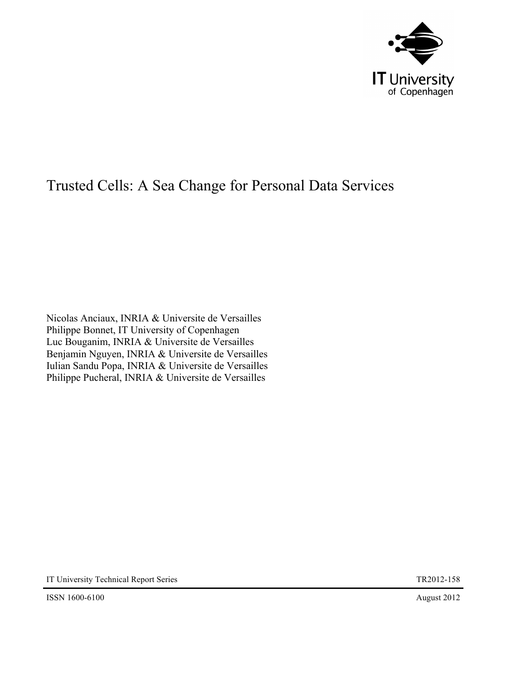

# Trusted Cells: A Sea Change for Personal Data Services

Nicolas Anciaux, INRIA & Universite de Versailles Philippe Bonnet, IT University of Copenhagen Luc Bouganim, INRIA & Universite de Versailles Benjamin Nguyen, INRIA & Universite de Versailles Iulian Sandu Popa, INRIA & Universite de Versailles Philippe Pucheral, INRIA & Universite de Versailles

IT University Technical Report Series TR2012-158

ISSN 1600-6100 August 2012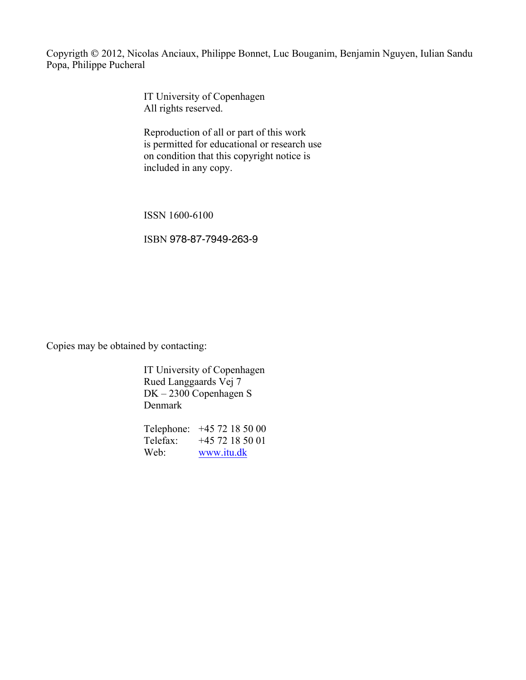Copyrigth 2012, Nicolas Anciaux, Philippe Bonnet, Luc Bouganim, Benjamin Nguyen, Iulian Sandu Popa, Philippe Pucheral

> IT University of Copenhagen All rights reserved.

Reproduction of all or part of this work is permitted for educational or research use on condition that this copyright notice is included in any copy.

ISSN 1600-6100

ISBN 978-87-7949-263-9

Copies may be obtained by contacting:

IT University of Copenhagen Rued Langgaards Vej 7 DK – 2300 Copenhagen S Denmark

Telephone: +45 72 18 50 00 Telefax: +45 72 18 50 01 Web: www.itu.dk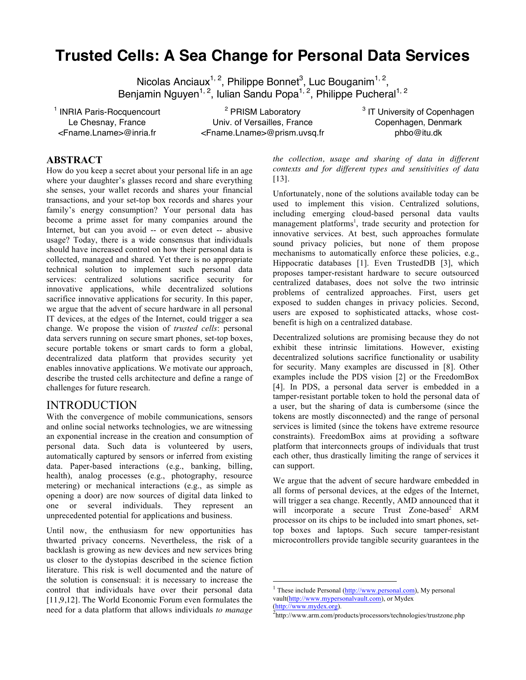## **Trusted Cells: A Sea Change for Personal Data Services**

Nicolas Anciaux<sup>1, 2</sup>, Philippe Bonnet<sup>3</sup>, Luc Bouganim<sup>1, 2</sup>, Benjamin Nguyen<sup>1, 2</sup>, Iulian Sandu Popa<sup>1, 2</sup>, Philippe Pucheral<sup>1, 2</sup>

<sup>1</sup> INRIA Paris-Rocquencourt Le Chesnay, France <Fname.Lname>@inria.fr

<sup>2</sup> PRISM Laboratory Univ. of Versailles, France <Fname.Lname>@prism.uvsq.fr <sup>3</sup> IT University of Copenhagen Copenhagen, Denmark phbo@itu.dk

#### **ABSTRACT**

How do you keep a secret about your personal life in an age where your daughter's glasses record and share everything she senses, your wallet records and shares your financial transactions, and your set-top box records and shares your family's energy consumption? Your personal data has become a prime asset for many companies around the Internet, but can you avoid -- or even detect -- abusive usage? Today, there is a wide consensus that individuals should have increased control on how their personal data is collected, managed and shared*.* Yet there is no appropriate technical solution to implement such personal data services: centralized solutions sacrifice security for innovative applications, while decentralized solutions sacrifice innovative applications for security. In this paper, we argue that the advent of secure hardware in all personal IT devices, at the edges of the Internet, could trigger a sea change. We propose the vision of *trusted cells*: personal data servers running on secure smart phones, set-top boxes, secure portable tokens or smart cards to form a global, decentralized data platform that provides security yet enables innovative applications. We motivate our approach, describe the trusted cells architecture and define a range of challenges for future research.

#### INTRODUCTION

With the convergence of mobile communications, sensors and online social networks technologies, we are witnessing an exponential increase in the creation and consumption of personal data. Such data is volunteered by users, automatically captured by sensors or inferred from existing data. Paper-based interactions (e.g., banking, billing, health), analog processes (e.g., photography, resource metering) or mechanical interactions (e.g., as simple as opening a door) are now sources of digital data linked to one or several individuals. They represent an unprecedented potential for applications and business.

Until now, the enthusiasm for new opportunities has thwarted privacy concerns. Nevertheless, the risk of a backlash is growing as new devices and new services bring us closer to the dystopias described in the science fiction literature. This risk is well documented and the nature of the solution is consensual: it is necessary to increase the control that individuals have over their personal data [11,9,12]*.* The World Economic Forum even formulates the need for a data platform that allows individuals *to manage* 

*the collection, usage and sharing of data in different contexts and for different types and sensitivities of data* [13].

Unfortunately, none of the solutions available today can be used to implement this vision. Centralized solutions, including emerging cloud-based personal data vaults management platforms<sup>1</sup>, trade security and protection for innovative services. At best, such approaches formulate sound privacy policies, but none of them propose mechanisms to automatically enforce these policies, e.g., Hippocratic databases [1]. Even TrustedDB [3], which proposes tamper-resistant hardware to secure outsourced centralized databases, does not solve the two intrinsic problems of centralized approaches. First, users get exposed to sudden changes in privacy policies. Second, users are exposed to sophisticated attacks, whose costbenefit is high on a centralized database.

Decentralized solutions are promising because they do not exhibit these intrinsic limitations. However, existing decentralized solutions sacrifice functionality or usability for security. Many examples are discussed in [8]. Other examples include the PDS vision [2] or the FreedomBox [4]. In PDS, a personal data server is embedded in a tamper-resistant portable token to hold the personal data of a user, but the sharing of data is cumbersome (since the tokens are mostly disconnected) and the range of personal services is limited (since the tokens have extreme resource constraints). FreedomBox aims at providing a software platform that interconnects groups of individuals that trust each other, thus drastically limiting the range of services it can support.

We argue that the advent of secure hardware embedded in all forms of personal devices, at the edges of the Internet, will trigger a sea change. Recently, AMD announced that it will incorporate a secure Trust Zone-based<sup>2</sup> ARM processor on its chips to be included into smart phones, settop boxes and laptops. Such secure tamper-resistant microcontrollers provide tangible security guarantees in the

 $1$  These include Personal  $(\frac{http://www.personal.com}{http://www.personal.com})$ , My personal vault(http://www.mypersonalvault.com), or Mydex (http://www.mydex.org). 2

<sup>&</sup>lt;sup>2</sup>http://www.arm.com/products/processors/technologies/trustzone.php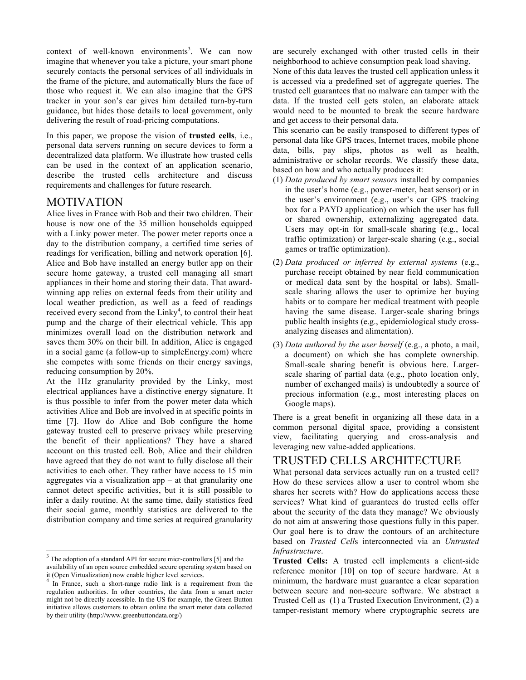context of well-known environments<sup>3</sup>. We can now imagine that whenever you take a picture, your smart phone securely contacts the personal services of all individuals in the frame of the picture, and automatically blurs the face of those who request it. We can also imagine that the GPS tracker in your son's car gives him detailed turn-by-turn guidance, but hides those details to local government, only delivering the result of road-pricing computations.

In this paper, we propose the vision of **trusted cells**, i.e., personal data servers running on secure devices to form a decentralized data platform. We illustrate how trusted cells can be used in the context of an application scenario, describe the trusted cells architecture and discuss requirements and challenges for future research.

#### MOTIVATION

Alice lives in France with Bob and their two children. Their house is now one of the 35 million households equipped with a Linky power meter. The power meter reports once a day to the distribution company, a certified time series of readings for verification, billing and network operation [6]. Alice and Bob have installed an energy butler app on their secure home gateway, a trusted cell managing all smart appliances in their home and storing their data. That awardwinning app relies on external feeds from their utility and local weather prediction, as well as a feed of readings received every second from the  $Linky<sup>4</sup>$ , to control their heat pump and the charge of their electrical vehicle. This app minimizes overall load on the distribution network and saves them 30% on their bill. In addition, Alice is engaged in a social game (a follow-up to simpleEnergy.com) where she competes with some friends on their energy savings, reducing consumption by 20%.

At the 1Hz granularity provided by the Linky, most electrical appliances have a distinctive energy signature. It is thus possible to infer from the power meter data which activities Alice and Bob are involved in at specific points in time [7]. How do Alice and Bob configure the home gateway trusted cell to preserve privacy while preserving the benefit of their applications? They have a shared account on this trusted cell. Bob, Alice and their children have agreed that they do not want to fully disclose all their activities to each other. They rather have access to 15 min aggregates via a visualization app  $-$  at that granularity one cannot detect specific activities, but it is still possible to infer a daily routine. At the same time, daily statistics feed their social game, monthly statistics are delivered to the distribution company and time series at required granularity

are securely exchanged with other trusted cells in their neighborhood to achieve consumption peak load shaving.

None of this data leaves the trusted cell application unless it is accessed via a predefined set of aggregate queries. The trusted cell guarantees that no malware can tamper with the data. If the trusted cell gets stolen, an elaborate attack would need to be mounted to break the secure hardware and get access to their personal data.

This scenario can be easily transposed to different types of personal data like GPS traces, Internet traces, mobile phone data, bills, pay slips, photos as well as health, administrative or scholar records. We classify these data, based on how and who actually produces it:

- (1) *Data produced by smart sensors* installed by companies in the user's home (e.g., power-meter, heat sensor) or in the user's environment (e.g., user's car GPS tracking box for a PAYD application) on which the user has full or shared ownership, externalizing aggregated data. Users may opt-in for small-scale sharing (e.g., local traffic optimization) or larger-scale sharing (e.g., social games or traffic optimization).
- (2) *Data produced or inferred by external systems* (e.g., purchase receipt obtained by near field communication or medical data sent by the hospital or labs). Smallscale sharing allows the user to optimize her buying habits or to compare her medical treatment with people having the same disease. Larger-scale sharing brings public health insights (e.g., epidemiological study crossanalyzing diseases and alimentation).
- (3) *Data authored by the user herself* (e.g., a photo, a mail, a document) on which she has complete ownership. Small-scale sharing benefit is obvious here. Largerscale sharing of partial data (e.g., photo location only, number of exchanged mails) is undoubtedly a source of precious information (e.g., most interesting places on Google maps).

There is a great benefit in organizing all these data in a common personal digital space, providing a consistent view, facilitating querying and cross-analysis and leveraging new value-added applications.

## TRUSTED CELLS ARCHITECTURE

What personal data services actually run on a trusted cell? How do these services allow a user to control whom she shares her secrets with? How do applications access these services? What kind of guarantees do trusted cells offer about the security of the data they manage? We obviously do not aim at answering those questions fully in this paper. Our goal here is to draw the contours of an architecture based on *Trusted Cell*s interconnected via an *Untrusted Infrastructure*.

The adoption of a standard API for secure micr-controllers [5] and the availability of an open source embedded secure operating system based on it (Open Virtualization) now enable higher level services.

<sup>&</sup>lt;sup>4</sup> In France, such a short-range radio link is a requirement from the regulation authorities. In other countries, the data from a smart meter might not be directly accessible. In the US for example, the Green Button initiative allows customers to obtain online the smart meter data collected by their utility (http://www.greenbuttondata.org/)

**Trusted Cells:** A trusted cell implements a client-side reference monitor [10] on top of secure hardware. At a minimum, the hardware must guarantee a clear separation between secure and non-secure software. We abstract a Trusted Cell as (1) a Trusted Execution Environment, (2) a tamper-resistant memory where cryptographic secrets are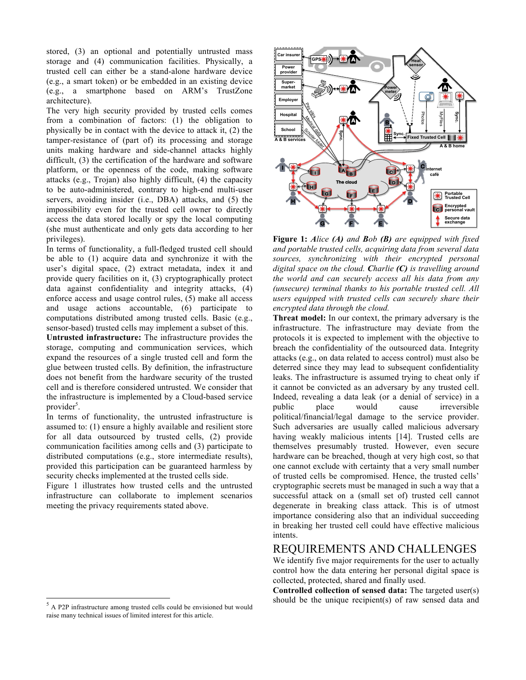stored, (3) an optional and potentially untrusted mass storage and (4) communication facilities. Physically, a trusted cell can either be a stand-alone hardware device (e.g., a smart token) or be embedded in an existing device (e.g., a smartphone based on ARM's TrustZone architecture).

The very high security provided by trusted cells comes from a combination of factors: (1) the obligation to physically be in contact with the device to attack it, (2) the tamper-resistance of (part of) its processing and storage units making hardware and side-channel attacks highly difficult, (3) the certification of the hardware and software platform, or the openness of the code, making software attacks (e.g., Trojan) also highly difficult, (4) the capacity to be auto-administered, contrary to high-end multi-user servers, avoiding insider (i.e., DBA) attacks, and (5) the impossibility even for the trusted cell owner to directly access the data stored locally or spy the local computing (she must authenticate and only gets data according to her privileges).

In terms of functionality, a full-fledged trusted cell should be able to (1) acquire data and synchronize it with the user's digital space, (2) extract metadata, index it and provide query facilities on it, (3) cryptographically protect data against confidentiality and integrity attacks, (4) enforce access and usage control rules, (5) make all access and usage actions accountable, (6) participate to computations distributed among trusted cells. Basic (e.g., sensor-based) trusted cells may implement a subset of this.

**Untrusted infrastructure:** The infrastructure provides the storage, computing and communication services, which expand the resources of a single trusted cell and form the glue between trusted cells. By definition, the infrastructure does not benefit from the hardware security of the trusted cell and is therefore considered untrusted. We consider that the infrastructure is implemented by a Cloud-based service provider<sup>5</sup>.

In terms of functionality, the untrusted infrastructure is assumed to: (1) ensure a highly available and resilient store for all data outsourced by trusted cells, (2) provide communication facilities among cells and (3) participate to distributed computations (e.g., store intermediate results), provided this participation can be guaranteed harmless by security checks implemented at the trusted cells side.

Figure 1 illustrates how trusted cells and the untrusted infrastructure can collaborate to implement scenarios meeting the privacy requirements stated above.





**Figure 1:** *Alice (A) and Bob (B) are equipped with fixed and portable trusted cells, acquiring data from several data sources, synchronizing with their encrypted personal digital space on the cloud. Charlie (C) is travelling around the world and can securely access all his data from any (unsecure) terminal thanks to his portable trusted cell. All users equipped with trusted cells can securely share their encrypted data through the cloud.*

**Threat model:** In our context, the primary adversary is the infrastructure. The infrastructure may deviate from the protocols it is expected to implement with the objective to breach the confidentiality of the outsourced data. Integrity attacks (e.g., on data related to access control) must also be deterred since they may lead to subsequent confidentiality leaks. The infrastructure is assumed trying to cheat only if it cannot be convicted as an adversary by any trusted cell. Indeed, revealing a data leak (or a denial of service) in a public place would cause irreversible political/financial/legal damage to the service provider. Such adversaries are usually called malicious adversary having weakly malicious intents [14]. Trusted cells are themselves presumably trusted. However, even secure hardware can be breached, though at very high cost, so that one cannot exclude with certainty that a very small number of trusted cells be compromised. Hence, the trusted cells' cryptographic secrets must be managed in such a way that a successful attack on a (small set of) trusted cell cannot degenerate in breaking class attack. This is of utmost importance considering also that an individual succeeding in breaking her trusted cell could have effective malicious intents.

## REQUIREMENTS AND CHALLENGES

We identify five major requirements for the user to actually control how the data entering her personal digital space is collected, protected, shared and finally used.

**Controlled collection of sensed data:** The targeted user(s) should be the unique recipient(s) of raw sensed data and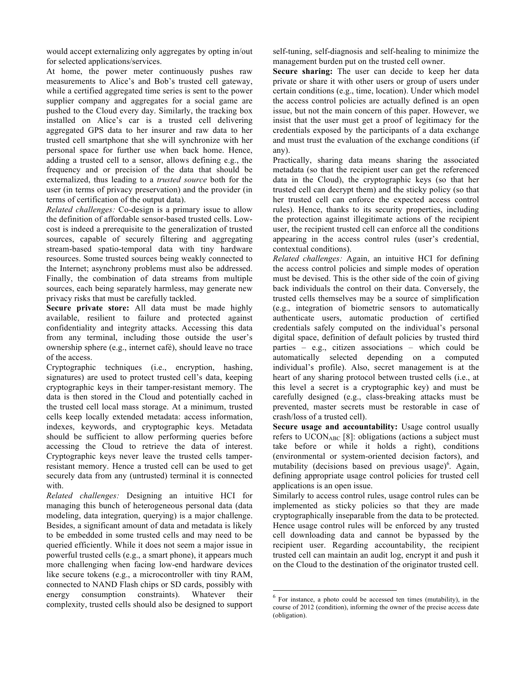would accept externalizing only aggregates by opting in/out for selected applications/services.

At home, the power meter continuously pushes raw measurements to Alice's and Bob's trusted cell gateway, while a certified aggregated time series is sent to the power supplier company and aggregates for a social game are pushed to the Cloud every day. Similarly, the tracking box installed on Alice's car is a trusted cell delivering aggregated GPS data to her insurer and raw data to her trusted cell smartphone that she will synchronize with her personal space for further use when back home. Hence, adding a trusted cell to a sensor, allows defining e.g., the frequency and or precision of the data that should be externalized, thus leading to a *trusted source* both for the user (in terms of privacy preservation) and the provider (in terms of certification of the output data).

*Related challenges:* Co-design is a primary issue to allow the definition of affordable sensor-based trusted cells. Lowcost is indeed a prerequisite to the generalization of trusted sources, capable of securely filtering and aggregating stream-based spatio-temporal data with tiny hardware resources. Some trusted sources being weakly connected to the Internet; asynchrony problems must also be addressed. Finally, the combination of data streams from multiple sources, each being separately harmless, may generate new privacy risks that must be carefully tackled.

**Secure private store:** All data must be made highly available, resilient to failure and protected against confidentiality and integrity attacks. Accessing this data from any terminal, including those outside the user's ownership sphere (e.g., internet café), should leave no trace of the access.

Cryptographic techniques (i.e., encryption, hashing, signatures) are used to protect trusted cell's data, keeping cryptographic keys in their tamper-resistant memory. The data is then stored in the Cloud and potentially cached in the trusted cell local mass storage. At a minimum, trusted cells keep locally extended metadata: access information, indexes, keywords, and cryptographic keys. Metadata should be sufficient to allow performing queries before accessing the Cloud to retrieve the data of interest. Cryptographic keys never leave the trusted cells tamperresistant memory. Hence a trusted cell can be used to get securely data from any (untrusted) terminal it is connected with.

*Related challenges:* Designing an intuitive HCI for managing this bunch of heterogeneous personal data (data modeling, data integration, querying) is a major challenge. Besides, a significant amount of data and metadata is likely to be embedded in some trusted cells and may need to be queried efficiently. While it does not seem a major issue in powerful trusted cells (e.g., a smart phone), it appears much more challenging when facing low-end hardware devices like secure tokens (e.g., a microcontroller with tiny RAM, connected to NAND Flash chips or SD cards, possibly with energy consumption constraints). Whatever their complexity, trusted cells should also be designed to support

self-tuning, self-diagnosis and self-healing to minimize the management burden put on the trusted cell owner.

**Secure sharing:** The user can decide to keep her data private or share it with other users or group of users under certain conditions (e.g., time, location). Under which model the access control policies are actually defined is an open issue, but not the main concern of this paper. However, we insist that the user must get a proof of legitimacy for the credentials exposed by the participants of a data exchange and must trust the evaluation of the exchange conditions (if any).

Practically, sharing data means sharing the associated metadata (so that the recipient user can get the referenced data in the Cloud), the cryptographic keys (so that her trusted cell can decrypt them) and the sticky policy (so that her trusted cell can enforce the expected access control rules). Hence, thanks to its security properties, including the protection against illegitimate actions of the recipient user, the recipient trusted cell can enforce all the conditions appearing in the access control rules (user's credential, contextual conditions).

*Related challenges:* Again, an intuitive HCI for defining the access control policies and simple modes of operation must be devised. This is the other side of the coin of giving back individuals the control on their data. Conversely, the trusted cells themselves may be a source of simplification (e.g., integration of biometric sensors to automatically authenticate users, automatic production of certified credentials safely computed on the individual's personal digital space, definition of default policies by trusted third parties – e.g., citizen associations – which could be automatically selected depending on a computed individual's profile). Also, secret management is at the heart of any sharing protocol between trusted cells (i.e., at this level a secret is a cryptographic key) and must be carefully designed (e.g., class-breaking attacks must be prevented, master secrets must be restorable in case of crash/loss of a trusted cell).

**Secure usage and accountability:** Usage control usually refers to UCONABC [8]: obligations (actions a subject must take before or while it holds a right), conditions (environmental or system-oriented decision factors), and mutability (decisions based on previous usage)<sup>6</sup>. Again, defining appropriate usage control policies for trusted cell applications is an open issue.

Similarly to access control rules, usage control rules can be implemented as sticky policies so that they are made cryptographically inseparable from the data to be protected. Hence usage control rules will be enforced by any trusted cell downloading data and cannot be bypassed by the recipient user. Regarding accountability, the recipient trusted cell can maintain an audit log, encrypt it and push it on the Cloud to the destination of the originator trusted cell.

 $6$  For instance, a photo could be accessed ten times (mutability), in the course of 2012 (condition), informing the owner of the precise access date (obligation).